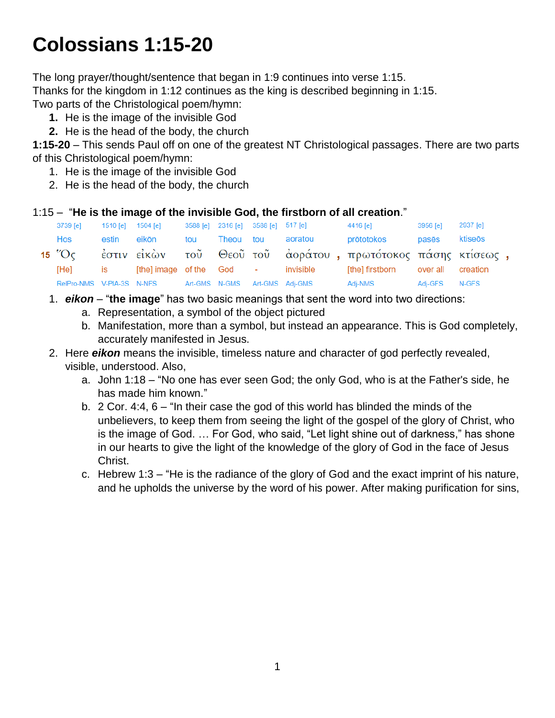# **Colossians 1:15-20**

The long prayer/thought/sentence that began in 1:9 continues into verse 1:15.

Thanks for the kingdom in 1:12 continues as the king is described beginning in 1:15.

Two parts of the Christological poem/hymn:

- **1.** He is the image of the invisible God
- **2.** He is the head of the body, the church

**1:15-20** – This sends Paul off on one of the greatest NT Christological passages. There are two parts of this Christological poem/hymn:

- 1. He is the image of the invisible God
- 2. He is the head of the body, the church

## 1:15 – "**He is the image of the invisible God, the firstborn of all creation**."

| 3739 [e]                | 1510 [e] 1504 [e]                                               |                                                         | 3588 [e] 2316 [e] 3588 [e] 517 [e] |                                    | 4416 [e]                                                    | 3956 [e] 2937 [e] |  |
|-------------------------|-----------------------------------------------------------------|---------------------------------------------------------|------------------------------------|------------------------------------|-------------------------------------------------------------|-------------------|--|
| Hos                     | estin                                                           | eikōn                                                   |                                    | tou Theou tou aoratou              | prōtotokos                                                  | pasēs ktiseōs     |  |
| 15 $^{\prime\prime}$ Oc |                                                                 |                                                         |                                    |                                    | έστιν εἰκὼν τοῦ Θεοῦ τοῦ ἀοράτου, πρωτότοκος πάσης κτίσεως, |                   |  |
| [He]                    | $\overline{\phantom{a}}$ is the set of $\overline{\phantom{a}}$ |                                                         |                                    | [the] image of the God - invisible | [the] firstborn over all creation                           |                   |  |
|                         |                                                                 | RelPro-NMS V-PIA-3S N-NFS Art-GMS N-GMS Art-GMS Adj-GMS |                                    |                                    | Adj-NMS                                                     | Adj-GFS N-GFS     |  |

- 1. *eikon* "**the image**" has two basic meanings that sent the word into two directions:
	- a. Representation, a symbol of the object pictured
	- b. Manifestation, more than a symbol, but instead an appearance. This is God completely, accurately manifested in Jesus.
- 2. Here *eikon* means the invisible, timeless nature and character of god perfectly revealed, visible, understood. Also,
	- a. John 1:18 "No one has ever seen God; the only God, who is at the Father's side, he has made him known."
	- b. 2 Cor. 4:4, 6 "In their case the god of this world has blinded the minds of the unbelievers, to keep them from seeing the light of the gospel of the glory of Christ, who is the image of God. … For God, who said, "Let light shine out of darkness," has shone in our hearts to give the light of the knowledge of the glory of God in the face of Jesus Christ.
	- c. Hebrew 1:3 "He is the radiance of the glory of God and the exact imprint of his nature, and he upholds the universe by the word of his power. After making purification for sins,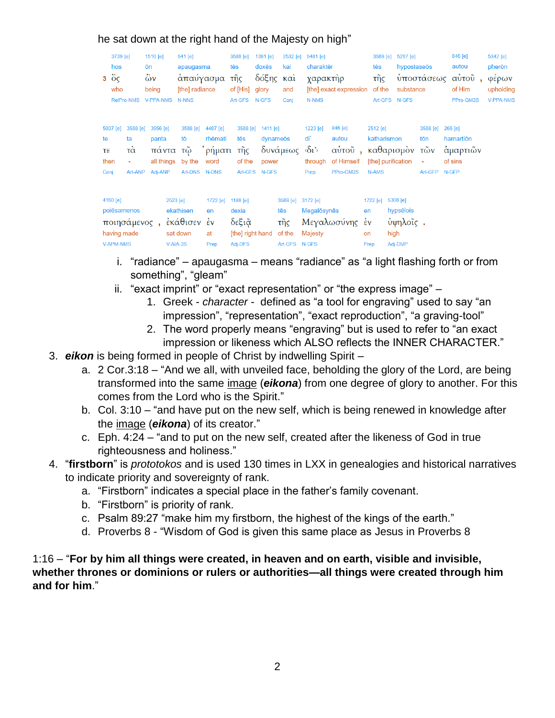|                          | 3739 [e]<br>hos<br>$3\degree$ $\degree$ $\degree$<br>who<br>RelPro-NMS       | 1510 [e]<br>ōn<br>$\ddot{\omega}$ v<br>being<br><b>V-PPA-NMS</b> | 541 [e]<br>apaugasma<br>απαύγασμα<br>[the] radiance<br>N-NNS |                                              | 3588 [e]<br>tēs<br>τῆς<br>of [His]<br>Art-GFS N-GFS       | 1391 [e]<br>doxēs<br>δόξης<br>glory              | 2532 [e]<br>kai<br>$\kappa$ $\alpha$<br>and<br>Coni | 5481 [e]<br>charaktēr<br>χαρακτὴρ<br>N-NMS | [the] exact expression                                               | 3588 [e]<br>tēs<br>τñς<br>of the                    | 5287 [e]<br>hypostaseōs<br>substance<br>Art-GFS N-GFS |                                  | 846 [e]<br>autou<br>υποστάσεως αυτού,<br>of Him<br>PPro-GM3S | 5342 [e]<br>pherōn<br>φέρων<br>upholding<br>V-PPA-NMS |
|--------------------------|------------------------------------------------------------------------------|------------------------------------------------------------------|--------------------------------------------------------------|----------------------------------------------|-----------------------------------------------------------|--------------------------------------------------|-----------------------------------------------------|--------------------------------------------|----------------------------------------------------------------------|-----------------------------------------------------|-------------------------------------------------------|----------------------------------|--------------------------------------------------------------|-------------------------------------------------------|
| te<br>τε<br>then<br>Conj | 3588 [e]<br>5037 [e]<br>ta<br>τὰ<br>Art-ANP                                  | 3956 [e]<br>panta<br>πάντα τῷ<br>all things<br>Adi-ANP           | 3588 [e]<br>tō<br>by the<br>Art-DNS N-DNS                    | 4487 [e]<br>rhēmati<br><b>ρήματι</b><br>word | 3588 [e]<br>tēs<br>τῆς<br>of the                          | $1411$ [e]<br>dynameōs<br>power<br>Art-GFS N-GFS | δυνάμεως δι'                                        | 1223 [e]<br>di<br>through<br>Prep          | 846 [e]<br>autou<br>αύτοῦ, καθαρισμὸν τῶν<br>of Himself<br>PPro-GM3S | 2512 [e]<br>katharismon<br>N-AMS                    | [the] purification                                    | 3588 [e]<br>tōn<br>÷.<br>Art-GFP | 266 [e]<br>hamartion<br>άμαρτιῶν<br>of sins<br>N-GFP         |                                                       |
|                          | 4160 $[e]$<br>poiēsamenos<br>ποιησάμενος,<br>having made<br><b>V-APM-NMS</b> |                                                                  | 2523 [e]<br>ekathisen<br>εκάθισεν έν<br>sat down<br>V-AIA-3S | 1722 [e]<br>en<br>at<br>Prep                 | 1188 [e]<br>dexia<br>δεξιᾶ<br>[the] right hand<br>Adj-DFS |                                                  | 3588 [e]<br>tēs<br>τῆς<br>of the<br>Art-GFS N-GFS   | 3172 [e]<br>Megalosynes<br>Majesty         | Μεγαλωσύνης                                                          | 1722 [e]<br>en<br>$\epsilon$ v<br><b>on</b><br>Prep | 5308 [e]<br>hypsēlois<br>ύψηλοΐς.<br>high<br>Adj-DMP  |                                  |                                                              |                                                       |

## he sat down at the right hand of the Majesty on high"

- i. "radiance" apaugasma means "radiance" as "a light flashing forth or from something", "gleam"
- ii. "exact imprint" or "exact representation" or "the express image"
	- 1. Greek *character* defined as "a tool for engraving" used to say "an impression", "representation", "exact reproduction", "a graving-tool"
	- 2. The word properly means "engraving" but is used to refer to "an exact impression or likeness which ALSO reflects the INNER CHARACTER."
- 3. *eikon* is being formed in people of Christ by indwelling Spirit
	- a. 2 Cor.3:18 "And we all, with unveiled face, beholding the glory of the Lord, are being transformed into the same image (*eikona*) from one degree of glory to another. For this comes from the Lord who is the Spirit."
	- b. Col. 3:10 "and have put on the new self, which is being renewed in knowledge after the image (*eikona*) of its creator."
	- c. Eph. 4:24 "and to put on the new self, created after the likeness of God in true righteousness and holiness."
- 4. "**firstborn**" is *prototokos* and is used 130 times in LXX in genealogies and historical narratives to indicate priority and sovereignty of rank.
	- a. "Firstborn" indicates a special place in the father's family covenant.
	- b. "Firstborn" is priority of rank.
	- c. Psalm 89:27 "make him my firstborn, the highest of the kings of the earth."
	- d. Proverbs 8 "Wisdom of God is given this same place as Jesus in Proverbs 8

1:16 – "**For by him all things were created, in heaven and on earth, visible and invisible, whether thrones or dominions or rulers or authorities—all things were created through him and for him**."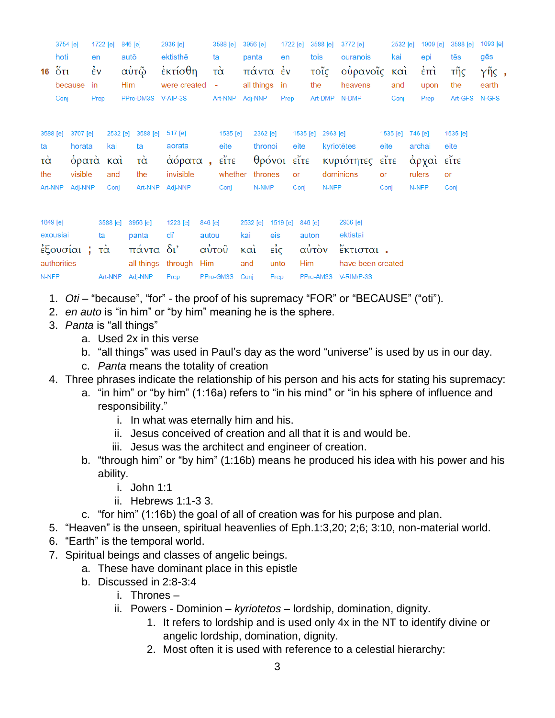| 16                                                 | 3754 [e]<br>hoti<br>$\ddot{\mathrm{o}}$ ti<br>Conj | because                                           | en<br>$\dot{\epsilon}$ v<br>in<br>Prep | 1722 [e]                              | 846 [e]<br>autō<br>αὐτῷ<br>Him<br>PPro-DM3S V-AIP-3S | 2936 [e]<br>ektisthē<br>έκτίσθη<br>were created             |                         | 3588 [e]<br>ta<br>τά<br>$\blacksquare$<br>Art-NNP | 3956 [e]<br>panta<br>πάντα έν<br>all things<br>Adj-NNP | en<br>in<br>Prep                          | 1722 [e]                                         | 3588 [e]<br>tois<br>τοΐς<br>the<br>Art-DMP | 3772 [e]<br>ouranois<br>ούρανοῖς<br>heavens<br>N-DMP                 | 2532 [e]<br>kai<br>$\kappa$ $\alpha$<br>and<br>Conj                                       | 1909 [e]<br>epi<br>$\epsilon$ <sup><math>\pi</math></sup> $i$<br>upon<br>Prep | 3588 [e]<br>tēs<br>τῆς<br>the<br>Art-GFS | 1093 [e]<br>gēs<br>γῆς,<br>earth<br>N-GFS |
|----------------------------------------------------|----------------------------------------------------|---------------------------------------------------|----------------------------------------|---------------------------------------|------------------------------------------------------|-------------------------------------------------------------|-------------------------|---------------------------------------------------|--------------------------------------------------------|-------------------------------------------|--------------------------------------------------|--------------------------------------------|----------------------------------------------------------------------|-------------------------------------------------------------------------------------------|-------------------------------------------------------------------------------|------------------------------------------|-------------------------------------------|
| 3588 [e]<br>ta<br>$\vec{\alpha}$<br>the<br>Art-NNP |                                                    | 3707 [e]<br>horata<br>δρατά<br>visible<br>Adj-NNP |                                        | 2532 [e]<br>kai<br>καὶ<br>and<br>Conj | 3588 [e]<br>ta<br>$\vec{\alpha}$<br>the<br>Art-NNP   | 517 [e]<br>aorata<br>αόρατα<br>invisible<br>Adj-NNP         | $\mathbf{r}$            | 1535 [e]<br>eite<br>εΐτε<br>whether<br>Conj       | 2362 [e]<br>N-NMP                                      | thronoi<br>θρόνοι<br>thrones              | 1535 [e]<br>eite<br>$\epsilon$ ite<br>or<br>Conj | 2963 [e]<br>N-NFP                          | kyriotētes<br>κυριότητες<br>dominions                                | 1535 [e]<br>eite<br>$\mathbf{e}_{\mathbf{1}\mathbf{T}}^{\mathbf{y}}$<br><b>or</b><br>Conj | 746 [e]<br>archai<br>άρχαι<br>rulers<br>N-NFP                                 | 1535 [e]<br>eite<br>εΐτε<br>or<br>Conj   |                                           |
| 1849 [e]<br>N-NFP                                  | exousiai<br>authorities                            | έξουσίαι;                                         | ta<br>۰                                | 3588 [e]<br>τὰ<br>Art-NNP             | 3956 [e]<br>panta<br>πάντα<br>all things<br>Adj-NNP  | 1223 [e]<br>di'<br>$\delta$ <sup>'</sup><br>through<br>Prep | 846 [e]<br>autou<br>Him | αύτοῦ<br>PPro-GM3S                                | 2532 [e]<br>kai<br>$\kappa$ $\alpha$<br>and<br>Conj    | 1519 [e]<br>eis<br>$ε$ ίς<br>unto<br>Prep | 846 [e]<br>auton<br>Him                          | αὐτὸν<br>PPro-AM3S                         | 2936 [e]<br>ektistai<br>έκτισται.<br>have been created<br>V-RIM/P-3S |                                                                                           |                                                                               |                                          |                                           |

- 1. *Oti* "because", "for" the proof of his supremacy "FOR" or "BECAUSE" ("oti").
- 2. *en auto* is "in him" or "by him" meaning he is the sphere.
- 3. *Panta* is "all things"
	- a. Used 2x in this verse
	- b. "all things" was used in Paul's day as the word "universe" is used by us in our day.
	- c. *Panta* means the totality of creation
- 4. Three phrases indicate the relationship of his person and his acts for stating his supremacy:
	- a. "in him" or "by him" (1:16a) refers to "in his mind" or "in his sphere of influence and responsibility."
		- i. In what was eternally him and his.
		- ii. Jesus conceived of creation and all that it is and would be.
		- iii. Jesus was the architect and engineer of creation.
	- b. "through him" or "by him" (1:16b) means he produced his idea with his power and his ability.
		- i. John 1:1
		- ii. Hebrews 1:1-3 3.
	- c. "for him" (1:16b) the goal of all of creation was for his purpose and plan.
- 5. "Heaven" is the unseen, spiritual heavenlies of Eph.1:3,20; 2;6; 3:10, non-material world.
- 6. "Earth" is the temporal world.
- 7. Spiritual beings and classes of angelic beings.
	- a. These have dominant place in this epistle
	- b. Discussed in 2:8-3:4
		- i. Thrones –
		- ii. Powers Dominion *kyriotetos* lordship, domination, dignity.
			- 1. It refers to lordship and is used only 4x in the NT to identify divine or angelic lordship, domination, dignity.
			- 2. Most often it is used with reference to a celestial hierarchy: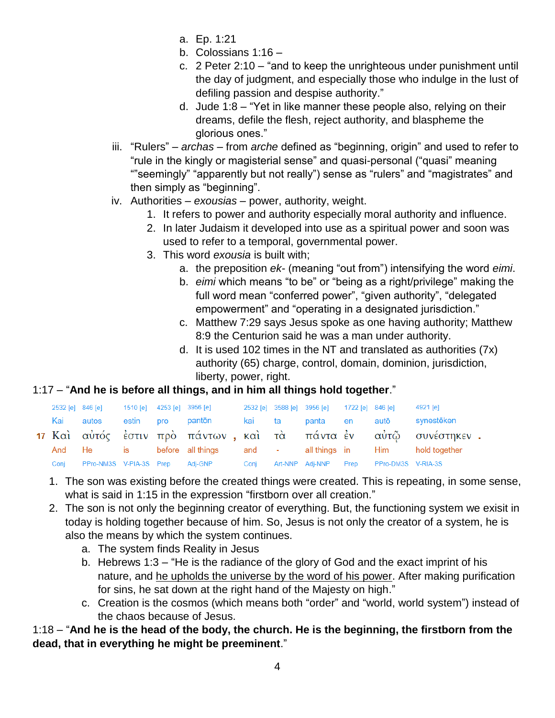- a. Ep. 1:21
- b. Colossians 1:16 –
- c. 2 Peter 2:10 "and to keep the unrighteous under punishment until the day of judgment, and especially those who indulge in the lust of defiling passion and despise authority."
- d. Jude 1:8 "Yet in like manner these people also, relying on their dreams, defile the flesh, reject authority, and blaspheme the glorious ones."
- iii. "Rulers" *archas* from *arche* defined as "beginning, origin" and used to refer to "rule in the kingly or magisterial sense" and quasi-personal ("quasi" meaning ""seemingly" "apparently but not really") sense as "rulers" and "magistrates" and then simply as "beginning".
- iv. Authorities *exousias* power, authority, weight.
	- 1. It refers to power and authority especially moral authority and influence.
	- 2. In later Judaism it developed into use as a spiritual power and soon was used to refer to a temporal, governmental power.
	- 3. This word *exousia* is built with;
		- a. the preposition *ek-* (meaning "out from") intensifying the word *eimi*.
		- b. *eimi* which means "to be" or "being as a right/privilege" making the full word mean "conferred power", "given authority", "delegated empowerment" and "operating in a designated jurisdiction."
		- c. Matthew 7:29 says Jesus spoke as one having authority; Matthew 8:9 the Centurion said he was a man under authority.
		- d. It is used 102 times in the NT and translated as authorities (7x) authority (65) charge, control, domain, dominion, jurisdiction, liberty, power, right.

## 1:17 – "**And he is before all things, and in him all things hold together**."

|      |           |  | 2532 [e] 846 [e] 1510 [e] 4253 [e] 3956 [e] 2532 [e] 3588 [e] 3956 [e] 1722 [e] 846 [e] |  |  | 4921 [e]                                                              |  |
|------|-----------|--|-----------------------------------------------------------------------------------------|--|--|-----------------------------------------------------------------------|--|
|      | Kai autos |  | estin pro pantōn  kai ta panta en autō                                                  |  |  | synestēken                                                            |  |
|      |           |  |                                                                                         |  |  | 17 Καὶ αὐτός ἐστιν πρὸ πάντων , καὶ τὰ πάντα ἐν - αὐτῷ - συνέστηκεν . |  |
|      |           |  | And He is before all things and - all things in Him hold together                       |  |  |                                                                       |  |
| Coni |           |  | PPro-NM3S V-PIA-3S Prep Adj-GNP Conj Art-NNP Adj-NNP Prep PPro-DM3S V-RIA-3S            |  |  |                                                                       |  |

- 1. The son was existing before the created things were created. This is repeating, in some sense, what is said in 1:15 in the expression "firstborn over all creation."
- 2. The son is not only the beginning creator of everything. But, the functioning system we exisit in today is holding together because of him. So, Jesus is not only the creator of a system, he is also the means by which the system continues.
	- a. The system finds Reality in Jesus
	- b. Hebrews 1:3 "He is the radiance of the glory of God and the exact imprint of his nature, and he upholds the universe by the word of his power. After making purification for sins, he sat down at the right hand of the Majesty on high."
	- c. Creation is the cosmos (which means both "order" and "world, world system") instead of the chaos because of Jesus.

1:18 – "**And he is the head of the body, the church. He is the beginning, the firstborn from the dead, that in everything he might be preeminent**."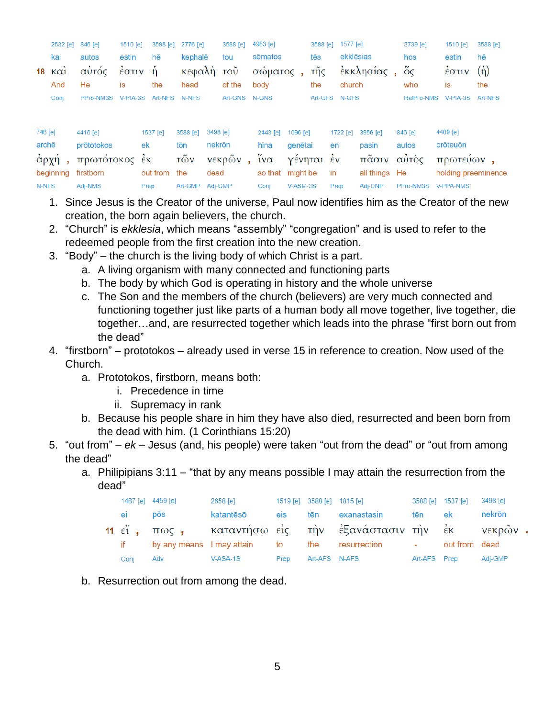|         | 2532 [e] 846 [e] |                                  | 1510 [e] 3588 [e] 2776 [e] |              |                     | 3588 [e]      | 4983 [e]              |               | 3588 [e] 1577 [e]                                          | 3739 [e]                    | 1510 [e] 3588 [e]      |     |
|---------|------------------|----------------------------------|----------------------------|--------------|---------------------|---------------|-----------------------|---------------|------------------------------------------------------------|-----------------------------|------------------------|-----|
|         | kai              | autos                            | estin                      | hē           | kephalē             | tou           | sōmatos               | tēs           | ekklēsias                                                  | hos                         | estin                  | hē  |
|         |                  |                                  |                            |              |                     |               |                       |               | 18 καὶ αὐτός ἐστιν ἡ κεφαλὴ τοῦ σώματος, τῆς ἐκκλησίας, ὅς |                             | $\frac{2}{5}$ στιν (ή) |     |
|         | And              | He .                             | <b>is</b>                  | the          | head                | of the        | bodv                  | the           | church                                                     | who                         | is                     | the |
|         | Conj             | PPro-NM3S V-PIA-3S Art-NFS N-NFS |                            |              |                     | Art-GNS N-GNS |                       | Art-GFS N-GFS |                                                            | RelPro-NMS V-PIA-3S Art-NFS |                        |     |
|         |                  |                                  |                            |              |                     |               |                       |               |                                                            |                             |                        |     |
| 1ه] 746 |                  | $\triangle 446$ [a]              |                            | $1537$ $[a]$ | 1م) 3498. [م) 3498. |               | $2443$ [e] $1096$ [e] |               | 11 1996 - 1941 1722                                        | $AAB$ $A$                   | $4409$ [e]             |     |

|               | $140$  e  $4416$  e                                                 |                      | 1537   el 3588   el 3498   el 35 | 2443  e    1096  e          1722  e    3956  e        846  e          4409  e |  |                                                                                             |
|---------------|---------------------------------------------------------------------|----------------------|----------------------------------|-------------------------------------------------------------------------------|--|---------------------------------------------------------------------------------------------|
|               | archē prōtotokos ek tōn nekrōn hina genētai en pasin autos prōteuōn |                      |                                  |                                                                               |  |                                                                                             |
|               |                                                                     |                      |                                  |                                                                               |  | άρχή, πρωτότοκος έκ τῶν νεκρῶν, ἵνα γένηται ἐν πᾶσιν αὐτὸς πρωτεύων,                        |
|               |                                                                     |                      |                                  |                                                                               |  | beginning firstborn out from the dead so that might be in all things He holding preeminence |
| N-NFS Adi-NMS |                                                                     | Prep Art-GMP Adj-GMP |                                  | Conj V-ASM-3S Prep Adj-DNP PPro-NM3S V-PPA-NMS                                |  |                                                                                             |

- 1. Since Jesus is the Creator of the universe, Paul now identifies him as the Creator of the new creation, the born again believers, the church.
- 2. "Church" is *ekklesia*, which means "assembly" "congregation" and is used to refer to the redeemed people from the first creation into the new creation.
- 3. "Body" the church is the living body of which Christ is a part.
	- a. A living organism with many connected and functioning parts
	- b. The body by which God is operating in history and the whole universe
	- c. The Son and the members of the church (believers) are very much connected and functioning together just like parts of a human body all move together, live together, die together…and, are resurrected together which leads into the phrase "first born out from the dead"
- 4. "firstborn" prototokos already used in verse 15 in reference to creation. Now used of the Church.
	- a. Prototokos, firstborn, means both:
		- i. Precedence in time
		- ii. Supremacy in rank
	- b. Because his people share in him they have also died, resurrected and been born from the dead with him. (1 Corinthians 15:20)
- 5. "out from" *ek* Jesus (and, his people) were taken "out from the dead" or "out from among the dead"
	- a. Philipipians 3:11 "that by any means possible I may attain the resurrection from the dead"

|        | 1487 [e] 4459 [e] | 2658 [e]  |            |     | 1519 [e] 3588 [e] 1815 [e]                                       |     | 3588 [e] 1537 [e] 3498 [e] |        |  |
|--------|-------------------|-----------|------------|-----|------------------------------------------------------------------|-----|----------------------------|--------|--|
| ei pōs |                   | katantēsō | <b>eis</b> | tēn | exanastasin                                                      | tēn | ek                         | nekrōn |  |
|        |                   |           |            |     | 11 εί, πως, καταντήσω είς την εξανάστασιν την εκ νεκρών.         |     |                            |        |  |
|        |                   |           |            |     | if by any means I may attain to the resurrection - out from dead |     |                            |        |  |
| Coni   | <b>Adv</b>        | V-ASA-1S  | Prep       |     | Art-AFS N-AFS                                                    |     | Art-AFS Prep Adj-GMP       |        |  |

b. Resurrection out from among the dead.